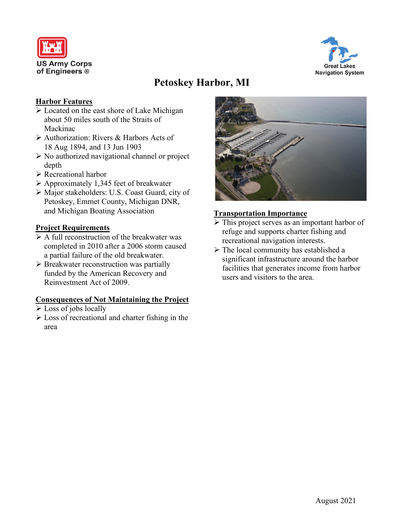



# **Petoskey Harbor, MI**

## **Harbor Features**

- Located on the east shore of Lake Michigan about 50 miles south of the Straits of Mackinac
- Authorization: Rivers & Harbors Acts of 18 Aug 1894, and 13 Jun 1903
- $\triangleright$  No authorized navigational channel or project depth
- Recreational harbor
- $\triangleright$  Approximately 1,345 feet of breakwater
- Major stakeholders: U.S. Coast Guard, city of Petoskey, Emmet County, Michigan DNR, and Michigan Boating Association

# **Project Requirements**

- $\triangleright$  A full reconstruction of the breakwater was completed in 2010 after a 2006 storm caused a partial failure of the old breakwater.
- $\triangleright$  Breakwater reconstruction was partially funded by the American Recovery and Reinvestment Act of 2009.

#### **Consequences of Not Maintaining the Project**

- $\triangleright$  Loss of jobs locally
- $\triangleright$  Loss of recreational and charter fishing in the area



# **Transportation Importance**

- $\triangleright$  This project serves as an important harbor of refuge and supports charter fishing and recreational navigation interests.
- $\triangleright$  The local community has established a significant infrastructure around the harbor facilities that generates income from harbor users and visitors to the area.